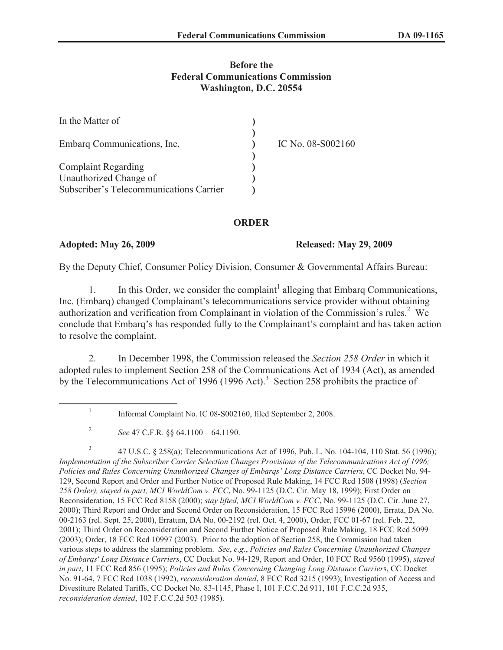## **Before the Federal Communications Commission Washington, D.C. 20554**

| In the Matter of                        |                   |
|-----------------------------------------|-------------------|
| Embarg Communications, Inc.             | IC No. 08-S002160 |
|                                         |                   |
| <b>Complaint Regarding</b>              |                   |
| Unauthorized Change of                  |                   |
| Subscriber's Telecommunications Carrier |                   |

## **ORDER**

### **Adopted: May 26, 2009 Released: May 29, 2009**

By the Deputy Chief, Consumer Policy Division, Consumer & Governmental Affairs Bureau:

1. In this Order, we consider the complaint<sup>1</sup> alleging that Embarq Communications, Inc. (Embarq) changed Complainant's telecommunications service provider without obtaining authorization and verification from Complainant in violation of the Commission's rules.<sup>2</sup> We conclude that Embarq's has responded fully to the Complainant's complaint and has taken action to resolve the complaint.

2. In December 1998, the Commission released the *Section 258 Order* in which it adopted rules to implement Section 258 of the Communications Act of 1934 (Act), as amended by the Telecommunications Act of 1996 (1996 Act).<sup>3</sup> Section 258 prohibits the practice of

<sup>1</sup> Informal Complaint No. IC 08-S002160, filed September 2, 2008.

<sup>2</sup> *See* 47 C.F.R. §§ 64.1100 – 64.1190.

<sup>3</sup> 47 U.S.C. § 258(a); Telecommunications Act of 1996, Pub. L. No. 104-104, 110 Stat. 56 (1996); *Implementation of the Subscriber Carrier Selection Changes Provisions of the Telecommunications Act of 1996; Policies and Rules Concerning Unauthorized Changes of Embarqs' Long Distance Carriers*, CC Docket No. 94- 129, Second Report and Order and Further Notice of Proposed Rule Making, 14 FCC Rcd 1508 (1998) (*Section 258 Order), stayed in part, MCI WorldCom v. FCC*, No. 99-1125 (D.C. Cir. May 18, 1999); First Order on Reconsideration, 15 FCC Rcd 8158 (2000); *stay lifted, MCI WorldCom v. FCC*, No. 99-1125 (D.C. Cir. June 27, 2000); Third Report and Order and Second Order on Reconsideration, 15 FCC Rcd 15996 (2000), Errata, DA No. 00-2163 (rel. Sept. 25, 2000), Erratum, DA No. 00-2192 (rel. Oct. 4, 2000), Order, FCC 01-67 (rel. Feb. 22, 2001); Third Order on Reconsideration and Second Further Notice of Proposed Rule Making, 18 FCC Rcd 5099 (2003); Order, 18 FCC Rcd 10997 (2003). Prior to the adoption of Section 258, the Commission had taken various steps to address the slamming problem. *See*, *e.g.*, *Policies and Rules Concerning Unauthorized Changes of Embarqs' Long Distance Carriers*, CC Docket No. 94-129, Report and Order, 10 FCC Rcd 9560 (1995), *stayed in part*, 11 FCC Rcd 856 (1995); *Policies and Rules Concerning Changing Long Distance Carrier*s, CC Docket No. 91-64, 7 FCC Rcd 1038 (1992), *reconsideration denied*, 8 FCC Rcd 3215 (1993); Investigation of Access and Divestiture Related Tariffs, CC Docket No. 83-1145, Phase I, 101 F.C.C.2d 911, 101 F.C.C.2d 935, *reconsideration denied*, 102 F.C.C.2d 503 (1985).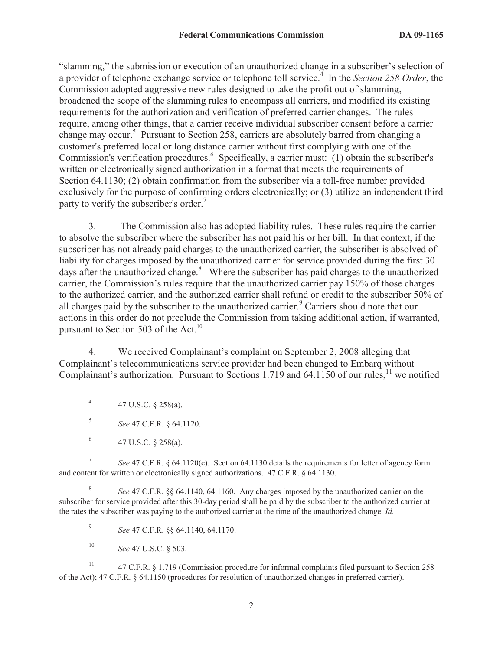"slamming," the submission or execution of an unauthorized change in a subscriber's selection of a provider of telephone exchange service or telephone toll service.<sup>4</sup> In the *Section 258 Order*, the Commission adopted aggressive new rules designed to take the profit out of slamming, broadened the scope of the slamming rules to encompass all carriers, and modified its existing requirements for the authorization and verification of preferred carrier changes. The rules require, among other things, that a carrier receive individual subscriber consent before a carrier change may occur.<sup>5</sup> Pursuant to Section 258, carriers are absolutely barred from changing a customer's preferred local or long distance carrier without first complying with one of the Commission's verification procedures.<sup>6</sup> Specifically, a carrier must: (1) obtain the subscriber's written or electronically signed authorization in a format that meets the requirements of Section 64.1130; (2) obtain confirmation from the subscriber via a toll-free number provided exclusively for the purpose of confirming orders electronically; or (3) utilize an independent third party to verify the subscriber's order.<sup>7</sup>

3. The Commission also has adopted liability rules. These rules require the carrier to absolve the subscriber where the subscriber has not paid his or her bill. In that context, if the subscriber has not already paid charges to the unauthorized carrier, the subscriber is absolved of liability for charges imposed by the unauthorized carrier for service provided during the first 30 days after the unauthorized change. $8$  Where the subscriber has paid charges to the unauthorized carrier, the Commission's rules require that the unauthorized carrier pay 150% of those charges to the authorized carrier, and the authorized carrier shall refund or credit to the subscriber 50% of all charges paid by the subscriber to the unauthorized carrier.<sup>9</sup> Carriers should note that our actions in this order do not preclude the Commission from taking additional action, if warranted, pursuant to Section 503 of the Act.<sup>10</sup>

4. We received Complainant's complaint on September 2, 2008 alleging that Complainant's telecommunications service provider had been changed to Embarq without Complainant's authorization. Pursuant to Sections 1.719 and 64.1150 of our rules, $11$  we notified

7 *See* 47 C.F.R. § 64.1120(c). Section 64.1130 details the requirements for letter of agency form and content for written or electronically signed authorizations. 47 C.F.R. § 64.1130.

8 *See* 47 C.F.R. §§ 64.1140, 64.1160. Any charges imposed by the unauthorized carrier on the subscriber for service provided after this 30-day period shall be paid by the subscriber to the authorized carrier at the rates the subscriber was paying to the authorized carrier at the time of the unauthorized change. *Id.*

9 *See* 47 C.F.R. §§ 64.1140, 64.1170.

<sup>10</sup> *See* 47 U.S.C. § 503.

<sup>11</sup> 47 C.F.R. § 1.719 (Commission procedure for informal complaints filed pursuant to Section 258 of the Act); 47 C.F.R. § 64.1150 (procedures for resolution of unauthorized changes in preferred carrier).

<sup>4</sup> 47 U.S.C. § 258(a).

<sup>5</sup> *See* 47 C.F.R. § 64.1120.

<sup>6</sup> 47 U.S.C. § 258(a).